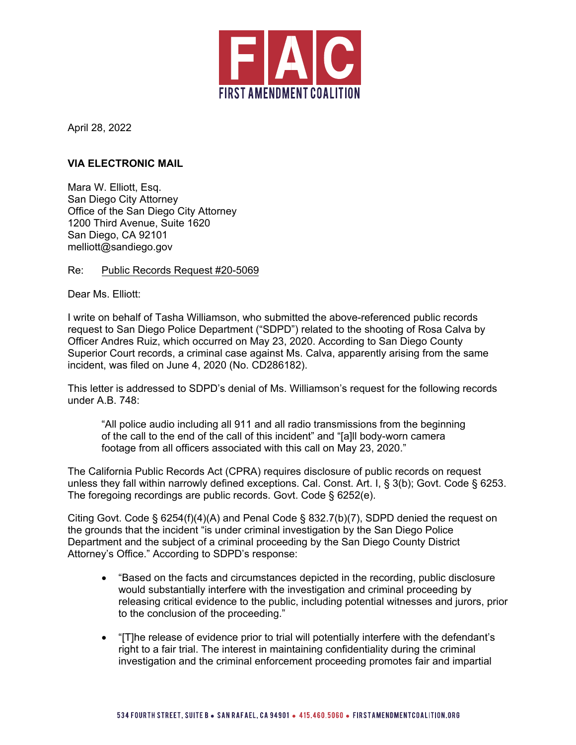

April 28, 2022

## **VIA ELECTRONIC MAIL**

Mara W. Elliott, Esq. San Diego City Attorney Office of the San Diego City Attorney 1200 Third Avenue, Suite 1620 San Diego, CA 92101 melliott@sandiego.gov

Re: Public Records Request #20-5069

Dear Ms. Elliott:

I write on behalf of Tasha Williamson, who submitted the above-referenced public records request to San Diego Police Department ("SDPD") related to the shooting of Rosa Calva by Officer Andres Ruiz, which occurred on May 23, 2020. According to San Diego County Superior Court records, a criminal case against Ms. Calva, apparently arising from the same incident, was filed on June 4, 2020 (No. CD286182).

This letter is addressed to SDPD's denial of Ms. Williamson's request for the following records under A.B. 748:

"All police audio including all 911 and all radio transmissions from the beginning of the call to the end of the call of this incident" and "[a]ll body-worn camera footage from all officers associated with this call on May 23, 2020."

The California Public Records Act (CPRA) requires disclosure of public records on request unless they fall within narrowly defined exceptions. Cal. Const. Art. I, § 3(b); Govt. Code § 6253. The foregoing recordings are public records. Govt. Code § 6252(e).

Citing Govt. Code § 6254(f)(4)(A) and Penal Code § 832.7(b)(7), SDPD denied the request on the grounds that the incident "is under criminal investigation by the San Diego Police Department and the subject of a criminal proceeding by the San Diego County District Attorney's Office." According to SDPD's response:

- "Based on the facts and circumstances depicted in the recording, public disclosure would substantially interfere with the investigation and criminal proceeding by releasing critical evidence to the public, including potential witnesses and jurors, prior to the conclusion of the proceeding."
- "[T]he release of evidence prior to trial will potentially interfere with the defendant's right to a fair trial. The interest in maintaining confidentiality during the criminal investigation and the criminal enforcement proceeding promotes fair and impartial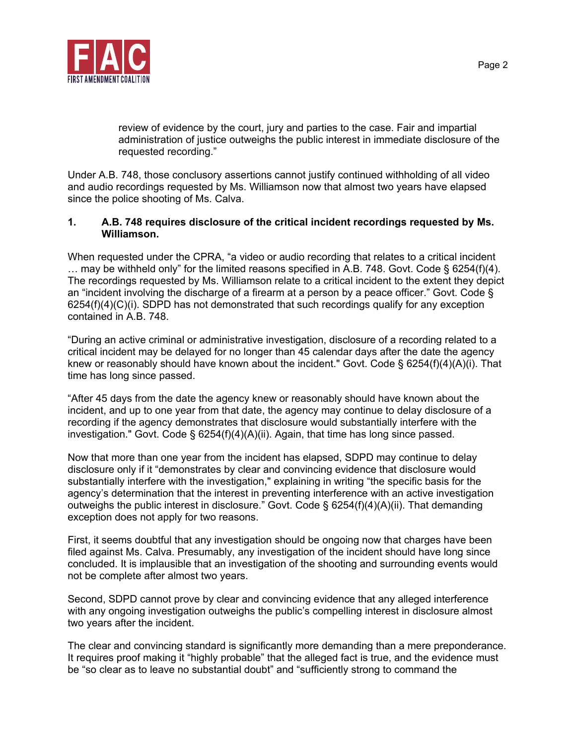

review of evidence by the court, jury and parties to the case. Fair and impartial administration of justice outweighs the public interest in immediate disclosure of the requested recording."

Under A.B. 748, those conclusory assertions cannot justify continued withholding of all video and audio recordings requested by Ms. Williamson now that almost two years have elapsed since the police shooting of Ms. Calva.

## **1. A.B. 748 requires disclosure of the critical incident recordings requested by Ms. Williamson.**

When requested under the CPRA, "a video or audio recording that relates to a critical incident … may be withheld only" for the limited reasons specified in A.B. 748. Govt. Code § 6254(f)(4). The recordings requested by Ms. Williamson relate to a critical incident to the extent they depict an "incident involving the discharge of a firearm at a person by a peace officer." Govt. Code §  $6254(f)(4)(C)(i)$ . SDPD has not demonstrated that such recordings qualify for any exception contained in A.B. 748.

"During an active criminal or administrative investigation, disclosure of a recording related to a critical incident may be delayed for no longer than 45 calendar days after the date the agency knew or reasonably should have known about the incident." Govt. Code § 6254(f)(4)(A)(i). That time has long since passed.

"After 45 days from the date the agency knew or reasonably should have known about the incident, and up to one year from that date, the agency may continue to delay disclosure of a recording if the agency demonstrates that disclosure would substantially interfere with the investigation." Govt. Code  $\S$  6254(f)(4)(A)(ii). Again, that time has long since passed.

Now that more than one year from the incident has elapsed, SDPD may continue to delay disclosure only if it "demonstrates by clear and convincing evidence that disclosure would substantially interfere with the investigation," explaining in writing "the specific basis for the agency's determination that the interest in preventing interference with an active investigation outweighs the public interest in disclosure." Govt. Code §  $6254(f)(4)(A)(ii)$ . That demanding exception does not apply for two reasons.

First, it seems doubtful that any investigation should be ongoing now that charges have been filed against Ms. Calva. Presumably, any investigation of the incident should have long since concluded. It is implausible that an investigation of the shooting and surrounding events would not be complete after almost two years.

Second, SDPD cannot prove by clear and convincing evidence that any alleged interference with any ongoing investigation outweighs the public's compelling interest in disclosure almost two years after the incident.

The clear and convincing standard is significantly more demanding than a mere preponderance. It requires proof making it "highly probable" that the alleged fact is true, and the evidence must be "so clear as to leave no substantial doubt" and "sufficiently strong to command the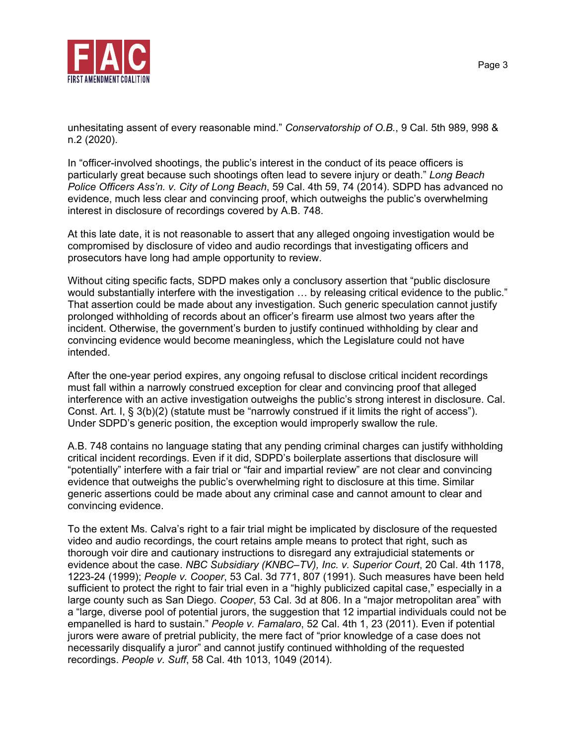

unhesitating assent of every reasonable mind." *Conservatorship of O.B.*, 9 Cal. 5th 989, 998 & n.2 (2020).

In "officer-involved shootings, the public's interest in the conduct of its peace officers is particularly great because such shootings often lead to severe injury or death." *Long Beach Police Officers Ass'n. v. City of Long Beach*, 59 Cal. 4th 59, 74 (2014). SDPD has advanced no evidence, much less clear and convincing proof, which outweighs the public's overwhelming interest in disclosure of recordings covered by A.B. 748.

At this late date, it is not reasonable to assert that any alleged ongoing investigation would be compromised by disclosure of video and audio recordings that investigating officers and prosecutors have long had ample opportunity to review.

Without citing specific facts, SDPD makes only a conclusory assertion that "public disclosure would substantially interfere with the investigation … by releasing critical evidence to the public." That assertion could be made about any investigation. Such generic speculation cannot justify prolonged withholding of records about an officer's firearm use almost two years after the incident. Otherwise, the government's burden to justify continued withholding by clear and convincing evidence would become meaningless, which the Legislature could not have intended.

After the one-year period expires, any ongoing refusal to disclose critical incident recordings must fall within a narrowly construed exception for clear and convincing proof that alleged interference with an active investigation outweighs the public's strong interest in disclosure. Cal. Const. Art. I, § 3(b)(2) (statute must be "narrowly construed if it limits the right of access"). Under SDPD's generic position, the exception would improperly swallow the rule.

A.B. 748 contains no language stating that any pending criminal charges can justify withholding critical incident recordings. Even if it did, SDPD's boilerplate assertions that disclosure will "potentially" interfere with a fair trial or "fair and impartial review" are not clear and convincing evidence that outweighs the public's overwhelming right to disclosure at this time. Similar generic assertions could be made about any criminal case and cannot amount to clear and convincing evidence.

To the extent Ms. Calva's right to a fair trial might be implicated by disclosure of the requested video and audio recordings, the court retains ample means to protect that right, such as thorough voir dire and cautionary instructions to disregard any extrajudicial statements or evidence about the case. *NBC Subsidiary (KNBC–TV), Inc. v. Superior Court*, 20 Cal. 4th 1178, 1223-24 (1999); *People v. Cooper*, 53 Cal. 3d 771, 807 (1991). Such measures have been held sufficient to protect the right to fair trial even in a "highly publicized capital case," especially in a large county such as San Diego. *Cooper*, 53 Cal. 3d at 806. In a "major metropolitan area" with a "large, diverse pool of potential jurors, the suggestion that 12 impartial individuals could not be empanelled is hard to sustain." *People v. Famalaro*, 52 Cal. 4th 1, 23 (2011). Even if potential jurors were aware of pretrial publicity, the mere fact of "prior knowledge of a case does not necessarily disqualify a juror" and cannot justify continued withholding of the requested recordings. *People v. Suff*, 58 Cal. 4th 1013, 1049 (2014).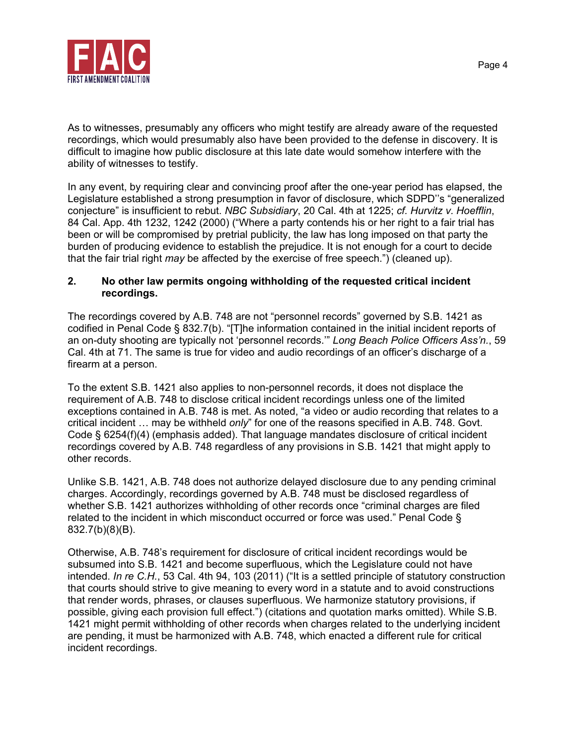

As to witnesses, presumably any officers who might testify are already aware of the requested recordings, which would presumably also have been provided to the defense in discovery. It is difficult to imagine how public disclosure at this late date would somehow interfere with the ability of witnesses to testify.

In any event, by requiring clear and convincing proof after the one-year period has elapsed, the Legislature established a strong presumption in favor of disclosure, which SDPD''s "generalized conjecture" is insufficient to rebut. *NBC Subsidiary*, 20 Cal. 4th at 1225; *cf. Hurvitz v. Hoefflin*, 84 Cal. App. 4th 1232, 1242 (2000) ("Where a party contends his or her right to a fair trial has been or will be compromised by pretrial publicity, the law has long imposed on that party the burden of producing evidence to establish the prejudice. It is not enough for a court to decide that the fair trial right *may* be affected by the exercise of free speech.") (cleaned up).

## **2. No other law permits ongoing withholding of the requested critical incident recordings.**

The recordings covered by A.B. 748 are not "personnel records" governed by S.B. 1421 as codified in Penal Code § 832.7(b). "[T]he information contained in the initial incident reports of an on-duty shooting are typically not 'personnel records.'" *Long Beach Police Officers Ass'n.*, 59 Cal. 4th at 71. The same is true for video and audio recordings of an officer's discharge of a firearm at a person.

To the extent S.B. 1421 also applies to non-personnel records, it does not displace the requirement of A.B. 748 to disclose critical incident recordings unless one of the limited exceptions contained in A.B. 748 is met. As noted, "a video or audio recording that relates to a critical incident … may be withheld *only*" for one of the reasons specified in A.B. 748. Govt. Code § 6254(f)(4) (emphasis added). That language mandates disclosure of critical incident recordings covered by A.B. 748 regardless of any provisions in S.B. 1421 that might apply to other records.

Unlike S.B. 1421, A.B. 748 does not authorize delayed disclosure due to any pending criminal charges. Accordingly, recordings governed by A.B. 748 must be disclosed regardless of whether S.B. 1421 authorizes withholding of other records once "criminal charges are filed related to the incident in which misconduct occurred or force was used." Penal Code § 832.7(b)(8)(B).

Otherwise, A.B. 748's requirement for disclosure of critical incident recordings would be subsumed into S.B. 1421 and become superfluous, which the Legislature could not have intended. *In re C.H.*, 53 Cal. 4th 94, 103 (2011) ("It is a settled principle of statutory construction that courts should strive to give meaning to every word in a statute and to avoid constructions that render words, phrases, or clauses superfluous. We harmonize statutory provisions, if possible, giving each provision full effect.") (citations and quotation marks omitted). While S.B. 1421 might permit withholding of other records when charges related to the underlying incident are pending, it must be harmonized with A.B. 748, which enacted a different rule for critical incident recordings.